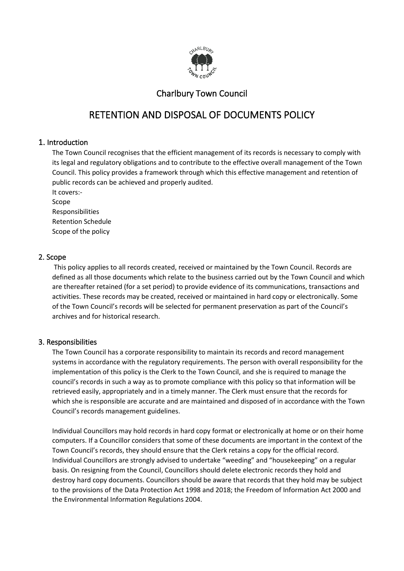

## Charlbury Town Council

# RETENTION AND DISPOSAL OF DOCUMENTS POLICY

## 1. Introduction

The Town Council recognises that the efficient management of its records is necessary to comply with its legal and regulatory obligations and to contribute to the effective overall management of the Town Council. This policy provides a framework through which this effective management and retention of public records can be achieved and properly audited.

It covers:- Scope

Responsibilities Retention Schedule Scope of the policy

## 2. Scope

This policy applies to all records created, received or maintained by the Town Council. Records are defined as all those documents which relate to the business carried out by the Town Council and which are thereafter retained (for a set period) to provide evidence of its communications, transactions and activities. These records may be created, received or maintained in hard copy or electronically. Some of the Town Council's records will be selected for permanent preservation as part of the Council's archives and for historical research.

## 3. Responsibilities

The Town Council has a corporate responsibility to maintain its records and record management systems in accordance with the regulatory requirements. The person with overall responsibility for the implementation of this policy is the Clerk to the Town Council, and she is required to manage the council's records in such a way as to promote compliance with this policy so that information will be retrieved easily, appropriately and in a timely manner. The Clerk must ensure that the records for which she is responsible are accurate and are maintained and disposed of in accordance with the Town Council's records management guidelines.

Individual Councillors may hold records in hard copy format or electronically at home or on their home computers. If a Councillor considers that some of these documents are important in the context of the Town Council's records, they should ensure that the Clerk retains a copy for the official record. Individual Councillors are strongly advised to undertake "weeding" and "housekeeping" on a regular basis. On resigning from the Council, Councillors should delete electronic records they hold and destroy hard copy documents. Councillors should be aware that records that they hold may be subject to the provisions of the Data Protection Act 1998 and 2018; the Freedom of Information Act 2000 and the Environmental Information Regulations 2004.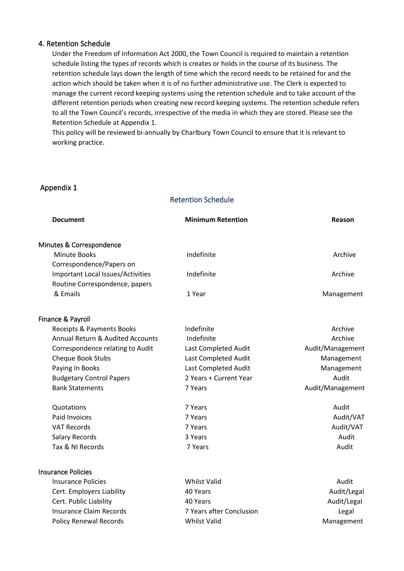### 4. Retention Schedule

Under the Freedom of Information Act 2000, the Town Council is required to maintain a retention schedule listing the types of records which is creates or holds in the course of its business. The retention schedule lays down the length of time which the record needs to be retained for and the action which should be taken when it is of no further administrative use. The Clerk is expected to manage the current record keeping systems using the retention schedule and to take account of the different retention periods when creating new record keeping systems. The retention schedule refers to all the Town Council's records, irrespective of the media in which they are stored. Please see the Retention Schedule at Appendix 1.

This policy will be reviewed bi-annually by Charlbury Town Council to ensure that it is relevant to working practice.

#### Appendix 1

### Retention Schedule

| <b>Document</b>                             | <b>Minimum Retention</b> | Reason           |
|---------------------------------------------|--------------------------|------------------|
| Minutes & Correspondence                    |                          |                  |
| Minute Books                                | Indefinite               | Archive          |
| Correspondence/Papers on                    |                          |                  |
| <b>Important Local Issues/Activities</b>    | Indefinite               | Archive          |
| Routine Correspondence, papers              |                          |                  |
| & Emails                                    | 1 Year                   | Management       |
| Finance & Payroll                           |                          |                  |
| Receipts & Payments Books                   | Indefinite               | Archive          |
| <b>Annual Return &amp; Audited Accounts</b> | Indefinite               | Archive          |
| Correspondence relating to Audit            | Last Completed Audit     | Audit/Management |
| <b>Cheque Book Stubs</b>                    | Last Completed Audit     | Management       |
| Paying In Books                             | Last Completed Audit     | Management       |
| <b>Budgetary Control Papers</b>             | 2 Years + Current Year   | Audit            |
| <b>Bank Statements</b>                      | 7 Years                  | Audit/Management |
| Quotations                                  | 7 Years                  | Audit            |
| <b>Paid Invoices</b>                        | 7 Years                  | Audit/VAT        |
| <b>VAT Records</b>                          | 7 Years                  | Audit/VAT        |
| <b>Salary Records</b>                       | 3 Years                  | Audit            |
| Tax & NI Records                            | 7 Years                  | Audit            |
| <b>Insurance Policies</b>                   |                          |                  |
| <b>Insurance Policies</b>                   | <b>Whilst Valid</b>      | Audit            |
| Cert. Employers Liability                   | 40 Years                 | Audit/Legal      |
| Cert. Public Liability                      | 40 Years                 | Audit/Legal      |
| <b>Insurance Claim Records</b>              | 7 Years after Conclusion | Legal            |
| <b>Policy Renewal Records</b>               | <b>Whilst Valid</b>      | Management       |